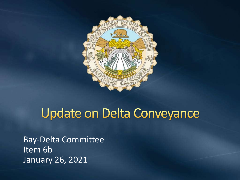

# **Update on Delta Conveyance**

Bay-Delta Committee Item 6b January 26, 2021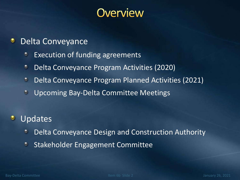### **Overview**

#### Delta Conveyance ۰

- Execution of funding agreements  $\bullet$
- Delta Conveyance Program Activities (2020)  $\bullet$
- Delta Conveyance Program Planned Activities (2021)  $\odot$
- $\bullet$ Upcoming Bay-Delta Committee Meetings

#### **Updates**  $\bullet$

- Delta Conveyance Design and Construction Authority  $\bullet$
- $\bullet$ Stakeholder Engagement Committee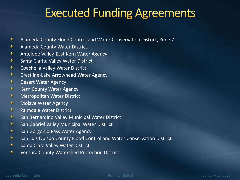## **Executed Funding Agreements**

- Alameda County Flood Control and Water Conservation District, Zone 7 ۰
- ۰ Alameda County Water District
- ٠ Antelope Valley-East Kern Water Agency
- Santa Clarita Valley Water District ۰
- ۰ Coachella Valley Water District
- $\bullet$ Crestline-Lake Arrowhead Water Agency
- $\bullet$ Desert Water Agency
- $\bullet$ Kern County Water Agency
- $\bullet$ Metropolitan Water District
- $\bullet$ Mojave Water Agency
- Palmdale Water District  $\bullet$
- $\bullet$ San Bernardino Valley Municipal Water District
- $\bullet$ San Gabriel Valley Municipal Water District
- ۰ San Gorgonio Pass Water Agency
- ۰ San Luis Obispo County Flood Control and Water Conservation District
- Santa Clara Valley Water District ۰
- ۰ Ventura County Watershed Protection District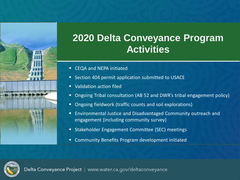

#### **2020 Delta Conveyance Program Activities**

- CEQA and NEPA initiated
- Section 404 permit application submitted to USACE
- Validation action filed
- Ongoing Tribal consultation (AB 52 and DWR's tribal engagement policy)
- Ongoing fieldwork (traffic counts and soil explorations)
- Environmental Justice and Disadvantaged Community outreach and engagement (including community survey)
- Stakeholder Engagement Committee (SEC) meetings
- Community Benefits Program development initiated

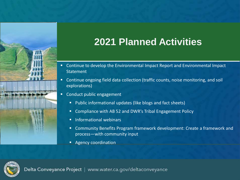

### **2021 Planned Activities**

- Continue to develop the Environmental Impact Report and Environmental Impact **Statement**
- Continue ongoing field data collection (traffic counts, noise monitoring, and soil explorations)
- **E** Conduct public engagement
	- Public informational updates (like blogs and fact sheets)
	- Compliance with AB 52 and DWR's Tribal Engagement Policy
	- **■** Informational webinars
	- **E** Community Benefits Program framework development: Create a framework and process—with community input
	- Agency coordination

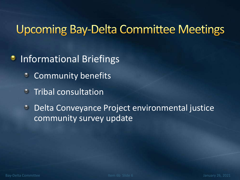## **Upcoming Bay-Delta Committee Meetings**

#### Informational Briefings ۰

- Community benefits ٠
- Tribal consultation  $\bullet$

Delta Conveyance Project environmental justice  $\bullet$ community survey update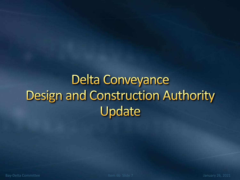# **Delta Conveyance Design and Construction Authority** Update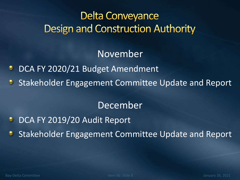### **Delta Conveyance Design and Construction Authority**

November

- DCA FY 2020/21 Budget Amendment
- **Stakeholder Engagement Committee Update and Report**

#### December

- DCA FY 2019/20 Audit Report ۰
- Stakeholder Engagement Committee Update and Report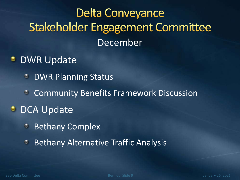# **Delta Conveyance Stakeholder Engagement Committee** December

- **DWR Update** 
	- DWR Planning Status  $\bullet$
	- Community Benefits Framework Discussion  $\bullet$
- **DCA Update** 
	- Bethany Complex  $\bullet$
	- **Bethany Alternative Traffic Analysis** ۰